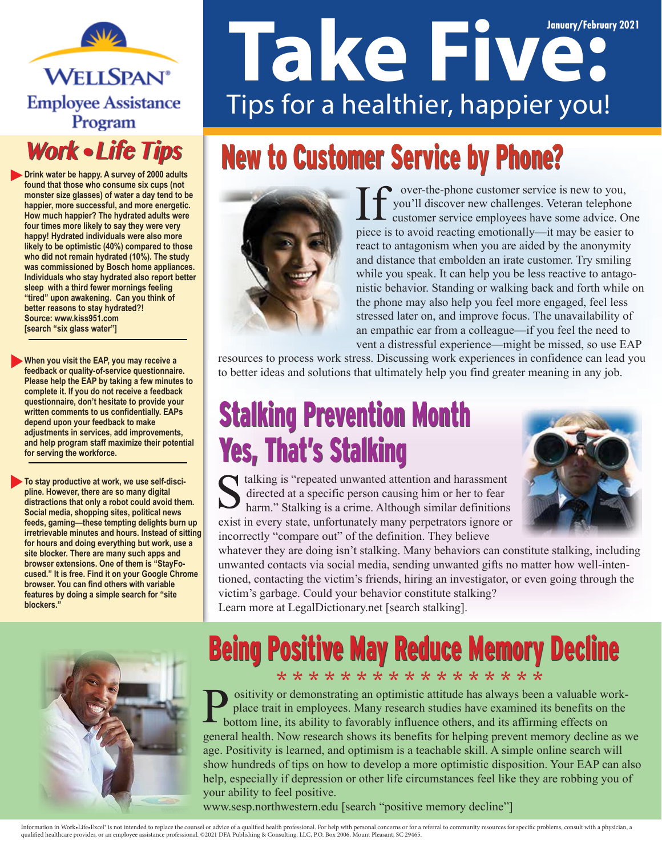**WELLSPAN**<sup>®</sup> **Employee Assistance** Program

#### **Work • Life Tips**

**Drink water be happy. A survey of 2000 adults found that those who consume six cups (not monster size glasses) of water a day tend to be happier, more successful, and more energetic. How much happier? The hydrated adults were four times more likely to say they were very happy! Hydrated individuals were also more likely to be optimistic (40%) compared to those who did not remain hydrated (10%). The study was commissioned by Bosch home appliances. Individuals who stay hydrated also report better "tired" upon awakening. Can you think of sleep with a third fewer mornings feeling better reasons to stay hydrated?! Source: www.kiss951.com [search "six glass water"]**

**When you visit the EAP, you may receive a feedback or quality-of-service questionnaire. Please help the EAP by taking a few minutes to complete it. If you do not receive a feedback questionnaire, don't hesitate to provide your written comments to us confidentially. EAPs depend upon your feedback to make adjustments in services, add improvements, and help program staff maximize their potential for serving the workforce.**

**To stay productive at work, we use self-discipline. However, there are so many digital distractions that only a robot could avoid them. Social media, shopping sites, political news feeds, gaming—these tempting delights burn up irretrievable minutes and hours. Instead of sitting for hours and doing everything but work, use a site blocker. There are many such apps and browser extensions. One of them is "StayFocused." It is free. Find it on your Google Chrome browser. You can find others with variable features by doing a simple search for "site blockers."**

# **January/February 2021** Tips for a healthier, happier you!

# **New to Customer Service by Phone?**



over-the-phone customer service is new to you, you'll discover new challenges. Veteran telephone customer service employees have some advice. One piece is to avoid reacting emotionally—it may be easier to react to antagonism when you are aided by the anonymity and distance that embolden an irate customer. Try smiling while you speak. It can help you be less reactive to antagonistic behavior. Standing or walking back and forth while on the phone may also help you feel more engaged, feel less stressed later on, and improve focus. The unavailability of an empathic ear from a colleague—if you feel the need to vent a distressful experience—might be missed, so use EAP

resources to process work stress. Discussing work experiences in confidence can lead you to better ideas and solutions that ultimately help you find greater meaning in any job.

## Stalking Prevention Month Stalking Prevention Month Yes, That's Stalking Yes, That's Stalking

talking is "repeated unwanted attention and harassment directed at a specific person causing him or her to fear harm." Stalking is a crime. Although similar definitions exist in every state, unfortunately many perpetrators ignore or incorrectly "compare out" of the definition. They believe



whatever they are doing isn't stalking. Many behaviors can constitute stalking, including unwanted contacts via social media, sending unwanted gifts no matter how well-intentioned, contacting the victim's friends, hiring an investigator, or even going through the victim's garbage. Could your behavior constitute stalking?

Learn more at LegalDictionary.net [search stalking].

# **Being Positive May Reduce Memory Decline**

\* \* \* \* \* \* \* \* \* \* \* \* \* \* \* \* \* ositivity or demonstrating an optimistic attitude has always been a valuable workplace trait in employees. Many research studies have examined its benefits on the bottom line, its ability to favorably influence others, and its affirming effects on general health. Now research shows its benefits for helping prevent memory decline as we age. Positivity is learned, and optimism is a teachable skill. A simple online search will show hundreds of tips on how to develop a more optimistic disposition. Your EAP can also help, especially if depression or other life circumstances feel like they are robbing you of your ability to feel positive.

www.sesp.northwestern.edu [search "positive memory decline"]